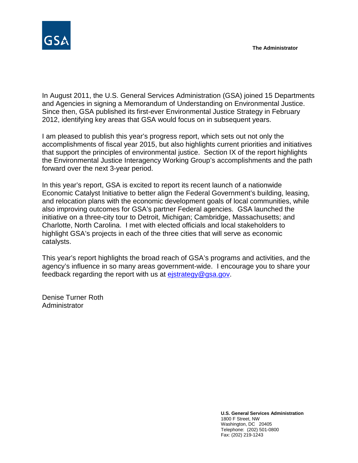

In August 2011, the U.S. General Services Administration (GSA) joined 15 Departments and Agencies in signing a Memorandum of Understanding on Environmental Justice. Since then, GSA published its first-ever Environmental Justice Strategy in February 2012, identifying key areas that GSA would focus on in subsequent years.

I am pleased to publish this year's progress report, which sets out not only the accomplishments of fiscal year 2015, but also highlights current priorities and initiatives that support the principles of environmental justice. Section IX of the report highlights the Environmental Justice Interagency Working Group's accomplishments and the path forward over the next 3-year period.

In this year's report, GSA is excited to report its recent launch of a nationwide Economic Catalyst Initiative to better align the Federal Government's building, leasing, and relocation plans with the economic development goals of local communities, while also improving outcomes for GSA's partner Federal agencies. GSA launched the initiative on a three-city tour to Detroit, Michigan; Cambridge, Massachusetts; and Charlotte, North Carolina. I met with elected officials and local stakeholders to highlight GSA's projects in each of the three cities that will serve as economic catalysts.

This year's report highlights the broad reach of GSA's programs and activities, and the agency's influence in so many areas government-wide. I encourage you to share your feedback regarding the report with us at [ejstrategy@gsa.gov.](mailto:ejstrategy@gsa.gov)

Denise Turner Roth Administrator

> **U.S. General Services Administration** 1800 F Street, NW Washington, DC 20405 Telephone: (202) 501-0800 Fax: (202) 219-1243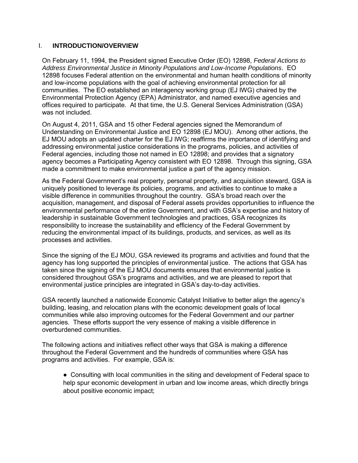#### I. **INTRODUCTION/OVERVIEW**

On February 11, 1994, the President signed Executive Order (EO) 12898, *Federal Actions to Address Environmental Justice in Minority Populations and Low-Income Populations*. EO 12898 focuses Federal attention on the environmental and human health conditions of minority and low-income populations with the goal of achieving environmental protection for all communities. The EO established an interagency working group (EJ IWG) chaired by the Environmental Protection Agency (EPA) Administrator, and named executive agencies and offices required to participate. At that time, the U.S. General Services Administration (GSA) was not included.

On August 4, 2011, GSA and 15 other Federal agencies signed the Memorandum of Understanding on Environmental Justice and EO 12898 (EJ MOU). Among other actions, the EJ MOU adopts an updated charter for the EJ IWG; reaffirms the importance of identifying and addressing environmental justice considerations in the programs, policies, and activities of Federal agencies, including those not named in EO 12898; and provides that a signatory agency becomes a Participating Agency consistent with EO 12898. Through this signing, GSA made a commitment to make environmental justice a part of the agency mission.

As the Federal Government's real property, personal property, and acquisition steward, GSA is uniquely positioned to leverage its policies, programs, and activities to continue to make a visible difference in communities throughout the country. GSA's broad reach over the acquisition, management, and disposal of Federal assets provides opportunities to influence the environmental performance of the entire Government, and with GSA's expertise and history of leadership in sustainable Government technologies and practices, GSA recognizes its responsibility to increase the sustainability and efficiency of the Federal Government by reducing the environmental impact of its buildings, products, and services, as well as its processes and activities.

Since the signing of the EJ MOU, GSA reviewed its programs and activities and found that the agency has long supported the principles of environmental justice. The actions that GSA has taken since the signing of the EJ MOU documents ensures that environmental justice is considered throughout GSA's programs and activities, and we are pleased to report that environmental justice principles are integrated in GSA's day-to-day activities.

GSA recently launched a nationwide Economic Catalyst Initiative to better align the agency's building, leasing, and relocation plans with the economic development goals of local communities while also improving outcomes for the Federal Government and our partner agencies. These efforts support the very essence of making a visible difference in overburdened communities.

The following actions and initiatives reflect other ways that GSA is making a difference throughout the Federal Government and the hundreds of communities where GSA has programs and activities. For example, GSA is:

● Consulting with local communities in the siting and development of Federal space to help spur economic development in urban and low income areas, which directly brings about positive economic impact;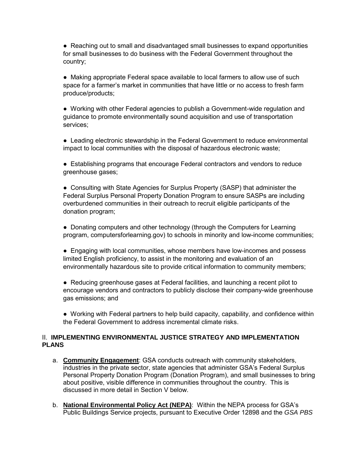● Reaching out to small and disadvantaged small businesses to expand opportunities for small businesses to do business with the Federal Government throughout the country;

● Making appropriate Federal space available to local farmers to allow use of such space for a farmer's market in communities that have little or no access to fresh farm produce/products;

● Working with other Federal agencies to publish a Government-wide regulation and guidance to promote environmentally sound acquisition and use of transportation services;

● Leading electronic stewardship in the Federal Government to reduce environmental impact to local communities with the disposal of hazardous electronic waste;

● Establishing programs that encourage Federal contractors and vendors to reduce greenhouse gases;

● Consulting with State Agencies for Surplus Property (SASP) that administer the Federal Surplus Personal Property Donation Program to ensure SASPs are including overburdened communities in their outreach to recruit eligible participants of the donation program;

• Donating computers and other technology (through the Computers for Learning program, computersforlearning.gov) to schools in minority and low-income communities;

• Engaging with local communities, whose members have low-incomes and possess limited English proficiency, to assist in the monitoring and evaluation of an environmentally hazardous site to provide critical information to community members;

● Reducing greenhouse gases at Federal facilities, and launching a recent pilot to encourage vendors and contractors to publicly disclose their company-wide greenhouse gas emissions; and

● Working with Federal partners to help build capacity, capability, and confidence within the Federal Government to address incremental climate risks.

## II. **IMPLEMENTING ENVIRONMENTAL JUSTICE STRATEGY AND IMPLEMENTATION PLANS**

- a. **Community Engagement**: GSA conducts outreach with community stakeholders, industries in the private sector, state agencies that administer GSA's Federal Surplus Personal Property Donation Program (Donation Program), and small businesses to bring about positive, visible difference in communities throughout the country. This is discussed in more detail in Section V below.
- b. **National Environmental Policy Act (NEPA)**: Within the NEPA process for GSA's Public Buildings Service projects, pursuant to Executive Order 12898 and the *GSA PBS*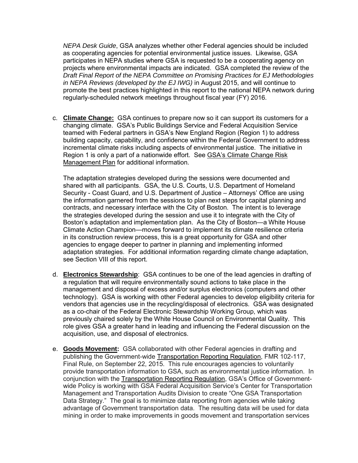*NEPA Desk Guide*, GSA analyzes whether other Federal agencies should be included as cooperating agencies for potential environmental justice issues. Likewise, GSA participates in NEPA studies where GSA is requested to be a cooperating agency on projects where environmental impacts are indicated. GSA completed the review of the *Draft Final Report of the NEPA Committee on Promising Practices for EJ Methodologies in NEPA Reviews (developed by the EJ IWG)* in August 2015, and will continue to promote the best practices highlighted in this report to the national NEPA network during regularly-scheduled network meetings throughout fiscal year (FY) 2016.

c. **Climate Change:** GSA continues to prepare now so it can support its customers for a changing climate. GSA's Public Buildings Service and Federal Acquisition Service teamed with Federal partners in GSA's New England Region (Region 1) to address building capacity, capability, and confidence within the Federal Government to address incremental climate risks including aspects of environmental justice. The initiative in Region 1 is only a part of a nationwide effort. See [GSA's Climate Change Risk](http://www.gsa.gov/portal/mediaId/199751/fileName/GSA_FY_2014_Climate_Change_Risk_Management_Plan.action)  [Management Plan](http://www.gsa.gov/portal/mediaId/199751/fileName/GSA_FY_2014_Climate_Change_Risk_Management_Plan.action) for additional information.

The adaptation strategies developed during the sessions were documented and shared with all participants. GSA, the U.S. Courts, U.S. Department of Homeland Security - Coast Guard, and U.S. Department of Justice – Attorneys' Office are using the information garnered from the sessions to plan next steps for capital planning and contracts, and necessary interface with the City of Boston. The intent is to leverage the strategies developed during the session and use it to integrate with the City of Boston's adaptation and implementation plan. As the City of Boston—a White House Climate Action Champion—moves forward to implement its climate resilience criteria in its construction review process, this is a great opportunity for GSA and other agencies to engage deeper to partner in planning and implementing informed adaptation strategies. For additional information regarding climate change adaptation, see Section VIII of this report.

- d. **Electronics Stewardship**: GSA continues to be one of the lead agencies in drafting of a regulation that will require environmentally sound actions to take place in the management and disposal of excess and/or surplus electronics (computers and other technology). GSA is working with other Federal agencies to develop eligibility criteria for vendors that agencies use in the recycling/disposal of electronics. GSA was designated as a co-chair of the Federal Electronic Stewardship Working Group, which was previously chaired solely by the White House Council on Environmental Quality. This role gives GSA a greater hand in leading and influencing the Federal discussion on the acquisition, use, and disposal of electronics.
- e. **Goods Movement:** GSA collaborated with other Federal agencies in drafting and publishing the Government-wide [Transportation Reporting Regulation,](https://federalregister.gov/a/2015-23996) FMR 102-117, Final Rule, on September 22, 2015. This rule encourages agencies to voluntarily provide transportation information to GSA, such as environmental justice information. In conjunction with the [Transportation Reporting Regulation,](https://federalregister.gov/a/2015-23996) GSA's Office of Governmentwide Policy is working with GSA Federal Acquisition Service's Center for Transportation Management and Transportation Audits Division to create "One GSA Transportation Data Strategy." The goal is to minimize data reporting from agencies while taking advantage of Government transportation data. The resulting data will be used for data mining in order to make improvements in goods movement and transportation services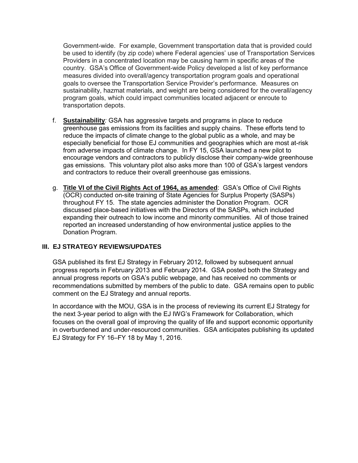Government-wide. For example, Government transportation data that is provided could be used to identify (by zip code) where Federal agencies' use of Transportation Services Providers in a concentrated location may be causing harm in specific areas of the country. GSA's Office of Government-wide Policy developed a list of key performance measures divided into overall/agency transportation program goals and operational goals to oversee the Transportation Service Provider's performance. Measures on sustainability, hazmat materials, and weight are being considered for the overall/agency program goals, which could impact communities located adjacent or enroute to transportation depots.

- f. **Sustainability***:* GSA has aggressive targets and programs in place to reduce greenhouse gas emissions from its facilities and supply chains. These efforts tend to reduce the impacts of climate change to the global public as a whole, and may be especially beneficial for those EJ communities and geographies which are most at-risk from adverse impacts of climate change. In FY 15, GSA launched a new pilot to encourage vendors and contractors to publicly disclose their company-wide greenhouse gas emissions. This voluntary pilot also asks more than 100 of GSA's largest vendors and contractors to reduce their overall greenhouse gas emissions.
- g. **Title VI of the Civil Rights Act of 1964, as amended**: GSA's Office of Civil Rights (OCR) conducted on-site training of State Agencies for Surplus Property (SASPs) throughout FY 15. The state agencies administer the Donation Program. OCR discussed place-based initiatives with the Directors of the SASPs, which included expanding their outreach to low income and minority communities. All of those trained reported an increased understanding of how environmental justice applies to the Donation Program.

## **III. EJ STRATEGY REVIEWS/UPDATES**

GSA published its first EJ Strategy in February 2012, followed by subsequent annual progress reports in February 2013 and February 2014. GSA posted both the Strategy and annual progress reports on GSA's public webpage, and has received no comments or recommendations submitted by members of the public to date. GSA remains open to public comment on the EJ Strategy and annual reports.

In accordance with the MOU, GSA is in the process of reviewing its current EJ Strategy for the next 3-year period to align with the EJ IWG's Framework for Collaboration, which focuses on the overall goal of improving the quality of life and support economic opportunity in overburdened and under-resourced communities. GSA anticipates publishing its updated EJ Strategy for FY 16–FY 18 by May 1, 2016.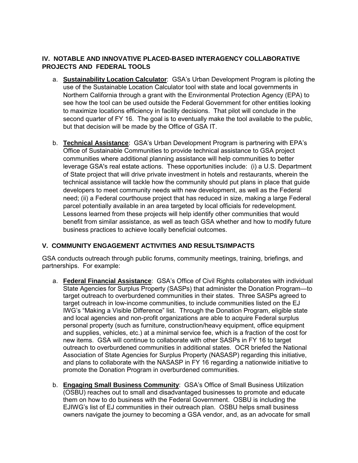## **IV. NOTABLE AND INNOVATIVE PLACED-BASED INTERAGENCY COLLABORATIVE PROJECTS AND FEDERAL TOOLS**

- a. **Sustainability Location Calculator**: GSA's Urban Development Program is piloting the use of the Sustainable Location Calculator tool with state and local governments in Northern California through a grant with the Environmental Protection Agency (EPA) to see how the tool can be used outside the Federal Government for other entities looking to maximize locations efficiency in facility decisions. That pilot will conclude in the second quarter of FY 16. The goal is to eventually make the tool available to the public, but that decision will be made by the Office of GSA IT.
- b. **Technical Assistance**: GSA's Urban Development Program is partnering with EPA's Office of Sustainable Communities to provide technical assistance to GSA project communities where additional planning assistance will help communities to better leverage GSA's real estate actions. These opportunities include: (i) a U.S. Department of State project that will drive private investment in hotels and restaurants, wherein the technical assistance will tackle how the community should put plans in place that guide developers to meet community needs with new development, as well as the Federal need; (ii) a Federal courthouse project that has reduced in size, making a large Federal parcel potentially available in an area targeted by local officials for redevelopment. Lessons learned from these projects will help identify other communities that would benefit from similar assistance, as well as teach GSA whether and how to modify future business practices to achieve locally beneficial outcomes.

# **V. COMMUNITY ENGAGEMENT ACTIVITIES AND RESULTS/IMPACTS**

GSA conducts outreach through public forums, community meetings, training, briefings, and partnerships. For example:

- a. **Federal Financial Assistance**: GSA's Office of Civil Rights collaborates with individual State Agencies for Surplus Property (SASPs) that administer the Donation Program—to target outreach to overburdened communities in their states. Three SASPs agreed to target outreach in low-income communities, to include communities listed on the EJ IWG's "Making a Visible Difference" list. Through the Donation Program, eligible state and local agencies and non-profit organizations are able to acquire Federal surplus personal property (such as furniture, construction/heavy equipment, office equipment and supplies, vehicles, etc.) at a minimal service fee, which is a fraction of the cost for new items. GSA will continue to collaborate with other SASPs in FY 16 to target outreach to overburdened communities in additional states. OCR briefed the National Association of State Agencies for Surplus Property (NASASP) regarding this initiative, and plans to collaborate with the NASASP in FY 16 regarding a nationwide initiative to promote the Donation Program in overburdened communities.
- b. **Engaging Small Business Community**: GSA's Office of Small Business Utilization (OSBU) reaches out to small and disadvantaged businesses to promote and educate them on how to do business with the Federal Government. OSBU is including the EJIWG's list of EJ communities in their outreach plan. OSBU helps small business owners navigate the journey to becoming a GSA vendor, and, as an advocate for small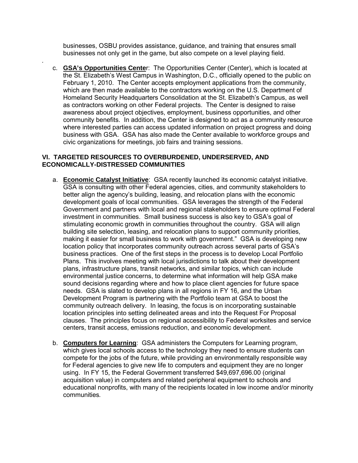businesses, OSBU provides assistance, guidance, and training that ensures small businesses not only get in the game, but also compete on a level playing field.

c. **GSA's Opportunities Cente**r: The Opportunities Center (Center), which is located at the St. Elizabeth's West Campus in Washington, D.C., officially opened to the public on February 1, 2010. The Center accepts employment applications from the community, which are then made available to the contractors working on the U.S. Department of Homeland Security Headquarters Consolidation at the St. Elizabeth's Campus, as well as contractors working on other Federal projects. The Center is designed to raise awareness about project objectives, employment, business opportunities, and other community benefits. In addition, the Center is designed to act as a community resource where interested parties can access updated information on project progress and doing business with GSA. GSA has also made the Center available to workforce groups and civic organizations for meetings, job fairs and training sessions.

#### **VI. TARGETED RESOURCES TO OVERBURDENED, UNDERSERVED, AND ECONOMICALLY-DISTRESSED COMMUNITIES**

*.*

- a. **Economic Catalyst Initiative**: GSA recently launched its economic catalyst initiative. GSA is consulting with other Federal agencies, cities, and community stakeholders to better align the agency's building, leasing, and relocation plans with the economic development goals of local communities. GSA leverages the strength of the Federal Government and partners with local and regional stakeholders to ensure optimal Federal investment in communities. Small business success is also key to GSA's goal of stimulating economic growth in communities throughout the country. GSA will align building site selection, leasing, and relocation plans to support community priorities, making it easier for small business to work with government." GSA is developing new location policy that incorporates community outreach across several parts of GSA's business practices. One of the first steps in the process is to develop Local Portfolio Plans. This involves meeting with local jurisdictions to talk about their development plans, infrastructure plans, transit networks, and similar topics, which can include environmental justice concerns, to determine what information will help GSA make sound decisions regarding where and how to place client agencies for future space needs. GSA is slated to develop plans in all regions in FY 16, and the Urban Development Program is partnering with the Portfolio team at GSA to boost the community outreach delivery. In leasing, the focus is on incorporating sustainable location principles into setting delineated areas and into the Request For Proposal clauses. The principles focus on regional accessibility to Federal worksites and service centers, transit access, emissions reduction, and economic development.
- b. **Computers for Learning**: GSA administers the Computers for Learning program, which gives local schools access to the technology they need to ensure students can compete for the jobs of the future, while providing an environmentally responsible way for Federal agencies to give new life to computers and equipment they are no longer using. In FY 15, the Federal Government transferred \$49,697,696.00 (original acquisition value) in computers and related peripheral equipment to schools and educational nonprofits, with many of the recipients located in low income and/or minority communities*.*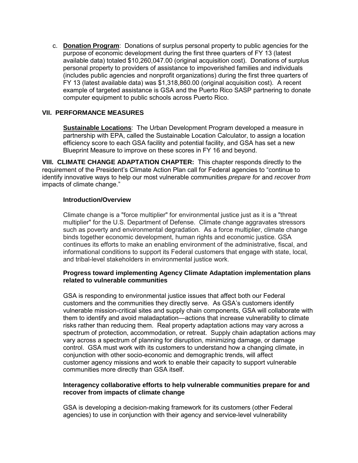c. **Donation Program**: Donations of surplus personal property to public agencies for the purpose of economic development during the first three quarters of FY 13 (latest available data) totaled \$10,260,047.00 (original acquisition cost). Donations of surplus personal property to providers of assistance to impoverished families and individuals (includes public agencies and nonprofit organizations) during the first three quarters of FY 13 (latest available data) was \$1,318,860.00 (original acquisition cost). A recent example of targeted assistance is GSA and the Puerto Rico SASP partnering to donate computer equipment to public schools across Puerto Rico.

## **VII. PERFORMANCE MEASURES**

**Sustainable Locations**: The Urban Development Program developed a measure in partnership with EPA, called the Sustainable Location Calculator, to assign a location efficiency score to each GSA facility and potential facility, and GSA has set a new Blueprint Measure to improve on these scores in FY 16 and beyond.

**VIII. CLIMATE CHANGE ADAPTATION CHAPTER:** This chapter responds directly to the requirement of the President's Climate Action Plan call for Federal agencies to "continue to identify innovative ways to help our most vulnerable communities *prepare for* and *recover from* impacts of climate change."

## **Introduction/Overview**

Climate change is a "force multiplier" for environmental justice just as it is a "threat multiplier" for the U.S. Department of Defense. Climate change aggravates stressors such as poverty and environmental degradation. As a force multiplier, climate change binds together economic development, human rights and economic justice. GSA continues its efforts to make an enabling environment of the administrative, fiscal, and informational conditions to support its Federal customers that engage with state, local, and tribal-level stakeholders in environmental justice work.

#### **Progress toward implementing Agency Climate Adaptation implementation plans related to vulnerable communities**

GSA is responding to environmental justice issues that affect both our Federal customers and the communities they directly serve. As GSA's customers identify vulnerable mission-critical sites and supply chain components, GSA will collaborate with them to identify and avoid maladaptation—actions that increase vulnerability to climate risks rather than reducing them. Real property adaptation actions may vary across a spectrum of protection, accommodation, or retreat. Supply chain adaptation actions may vary across a spectrum of planning for disruption, minimizing damage, or damage control. GSA must work with its customers to understand how a changing climate, in conjunction with other socio-economic and demographic trends, will affect customer agency missions and work to enable their capacity to support vulnerable communities more directly than GSA itself.

#### **Interagency collaborative efforts to help vulnerable communities prepare for and recover from impacts of climate change**

GSA is developing a decision-making framework for its customers (other Federal agencies) to use in conjunction with their agency and service-level vulnerability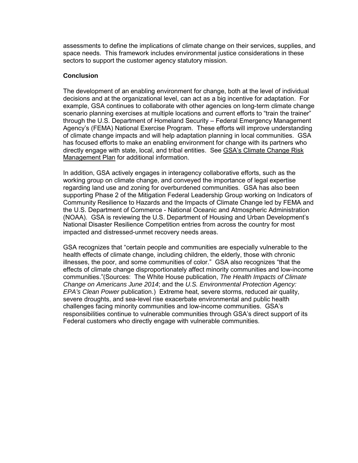assessments to define the implications of climate change on their services, supplies, and space needs. This framework includes environmental justice considerations in these sectors to support the customer agency statutory mission.

#### **Conclusion**

The development of an enabling environment for change, both at the level of individual decisions and at the organizational level, can act as a big incentive for adaptation. For example, GSA continues to collaborate with other agencies on long-term climate change scenario planning exercises at multiple locations and current efforts to "train the trainer" through the U.S. Department of Homeland Security – Federal Emergency Management Agency's (FEMA) National Exercise Program. These efforts will improve understanding of climate change impacts and will help adaptation planning in local communities. GSA has focused efforts to make an enabling environment for change with its partners who directly engage with state, local, and tribal entities. See [GSA's Climate Change Risk](http://www.gsa.gov/portal/mediaId/199751/fileName/GSA_FY_2014_Climate_Change_Risk_Management_Plan.action)  [Management Plan](http://www.gsa.gov/portal/mediaId/199751/fileName/GSA_FY_2014_Climate_Change_Risk_Management_Plan.action) for additional information.

In addition, GSA actively engages in interagency collaborative efforts, such as the working group on climate change, and conveyed the importance of legal expertise regarding land use and zoning for overburdened communities. GSA has also been supporting Phase 2 of the Mitigation Federal Leadership Group working on Indicators of Community Resilience to Hazards and the Impacts of Climate Change led by FEMA and the U.S. Department of Commerce - National Oceanic and Atmospheric Administration (NOAA). GSA is reviewing the U.S. Department of Housing and Urban Development's National Disaster Resilience Competition entries from across the country for most impacted and distressed-unmet recovery needs areas.

GSA recognizes that "certain people and communities are especially vulnerable to the health effects of climate change, including children, the elderly, those with chronic illnesses, the poor, and some communities of color." GSA also recognizes "that the effects of climate change disproportionately affect minority communities and low-income communities."(Sources: The White House publication, *The Health Impacts of Climate Change on Americans June 2014*; and the *U.S. Environmental Protection Agency: EPA's Clean Power* publication.) Extreme heat, severe storms, reduced air quality, severe droughts, and sea-level rise exacerbate environmental and public health challenges facing minority communities and low-income communities. GSA's responsibilities continue to vulnerable communities through GSA's direct support of its Federal customers who directly engage with vulnerable communities.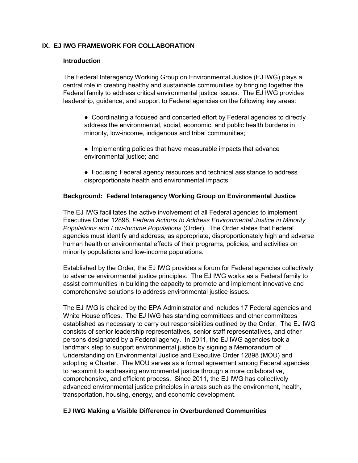## **IX. EJ IWG FRAMEWORK FOR COLLABORATION**

#### **Introduction**

The Federal Interagency Working Group on Environmental Justice (EJ IWG) plays a central role in creating healthy and sustainable communities by bringing together the Federal family to address critical environmental justice issues. The EJ IWG provides leadership, guidance, and support to Federal agencies on the following key areas:

- Coordinating a focused and concerted effort by Federal agencies to directly address the environmental, social, economic, and public health burdens in minority, low-income, indigenous and tribal communities;
- Implementing policies that have measurable impacts that advance environmental justice; and
- Focusing Federal agency resources and technical assistance to address disproportionate health and environmental impacts.

#### **Background: Federal Interagency Working Group on Environmental Justice**

The EJ IWG facilitates the active involvement of all Federal agencies to implement Executive Order 12898, *Federal Actions to Address Environmental Justice in Minority Populations and Low-Income Populations* (Order). The Order states that Federal agencies must identify and address, as appropriate, disproportionately high and adverse human health or environmental effects of their programs, policies, and activities on minority populations and low-income populations.

Established by the Order, the EJ IWG provides a forum for Federal agencies collectively to advance environmental justice principles. The EJ IWG works as a Federal family to assist communities in building the capacity to promote and implement innovative and comprehensive solutions to address environmental justice issues.

The EJ IWG is chaired by the EPA Administrator and includes 17 Federal agencies and White House offices. The EJ IWG has standing committees and other committees established as necessary to carry out responsibilities outlined by the Order. The EJ IWG consists of senior leadership representatives, senior staff representatives, and other persons designated by a Federal agency. In 2011, the EJ IWG agencies took a landmark step to support environmental justice by signing a Memorandum of Understanding on Environmental Justice and Executive Order 12898 (MOU) and adopting a Charter. The MOU serves as a formal agreement among Federal agencies to recommit to addressing environmental justice through a more collaborative, comprehensive, and efficient process. Since 2011, the EJ IWG has collectively advanced environmental justice principles in areas such as the environment, health, transportation, housing, energy, and economic development.

## **EJ IWG Making a Visible Difference in Overburdened Communities**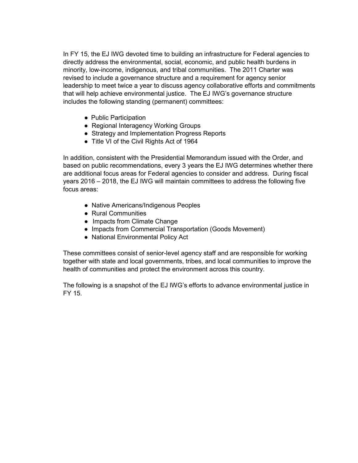In FY 15, the EJ IWG devoted time to building an infrastructure for Federal agencies to directly address the environmental, social, economic, and public health burdens in minority, low-income, indigenous, and tribal communities. The 2011 Charter was revised to include a governance structure and a requirement for agency senior leadership to meet twice a year to discuss agency collaborative efforts and commitments that will help achieve environmental justice. The EJ IWG's governance structure includes the following standing (permanent) committees:

- Public Participation
- Regional Interagency Working Groups
- Strategy and Implementation Progress Reports
- Title VI of the Civil Rights Act of 1964

In addition, consistent with the Presidential Memorandum issued with the Order, and based on public recommendations, every 3 years the EJ IWG determines whether there are additional focus areas for Federal agencies to consider and address. During fiscal years 2016 – 2018, the EJ IWG will maintain committees to address the following five focus areas:

- Native Americans/Indigenous Peoples
- Rural Communities
- Impacts from Climate Change
- Impacts from Commercial Transportation (Goods Movement)
- National Environmental Policy Act

These committees consist of senior-level agency staff and are responsible for working together with state and local governments, tribes, and local communities to improve the health of communities and protect the environment across this country.

The following is a snapshot of the EJ IWG's efforts to advance environmental justice in FY 15.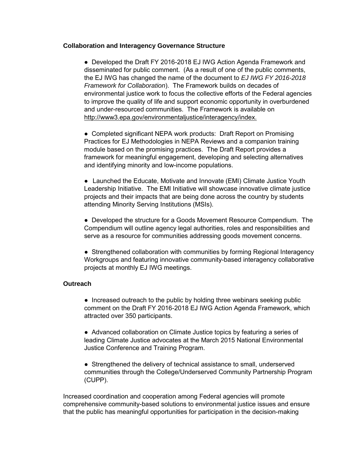#### **Collaboration and Interagency Governance Structure**

• Developed the Draft FY 2016-2018 EJ IWG Action Agenda Framework and disseminated for public comment. (As a result of one of the public comments, the EJ IWG has changed the name of the document to *EJ IWG FY 2016-2018 Framework for Collaboration*). The Framework builds on decades of environmental justice work to focus the collective efforts of the Federal agencies to improve the quality of life and support economic opportunity in overburdened and under-resourced communities. The Framework is available o[n](http://www3.epa.gov/environmentaljustice/interagency/index.html) [http://www3.epa.gov/environmentaljustice/interagency/index.](http://www3.epa.gov/environmentaljustice/interagency/index)

• Completed significant NEPA work products: Draft Report on Promising Practices for EJ Methodologies in NEPA Reviews and a companion training module based on the promising practices. The Draft Report provides a framework for meaningful engagement, developing and selecting alternatives and identifying minority and low-income populations.

● Launched the Educate, Motivate and Innovate (EMI) Climate Justice Youth Leadership Initiative. The EMI Initiative will showcase innovative climate justice projects and their impacts that are being done across the country by students attending Minority Serving Institutions (MSIs).

● Developed the structure for a Goods Movement Resource Compendium. The Compendium will outline agency legal authorities, roles and responsibilities and serve as a resource for communities addressing goods movement concerns.

• Strengthened collaboration with communities by forming Regional Interagency Workgroups and featuring innovative community-based interagency collaborative projects at monthly EJ IWG meetings.

## **Outreach**

• Increased outreach to the public by holding three webinars seeking public comment on the Draft FY 2016-2018 EJ IWG Action Agenda Framework, which attracted over 350 participants.

● Advanced collaboration on Climate Justice topics by featuring a series of leading Climate Justice advocates at the March 2015 National Environmental Justice Conference and Training Program.

• Strengthened the delivery of technical assistance to small, underserved communities through the College/Underserved Community Partnership Program (CUPP).

Increased coordination and cooperation among Federal agencies will promote comprehensive community-based solutions to environmental justice issues and ensure that the public has meaningful opportunities for participation in the decision-making